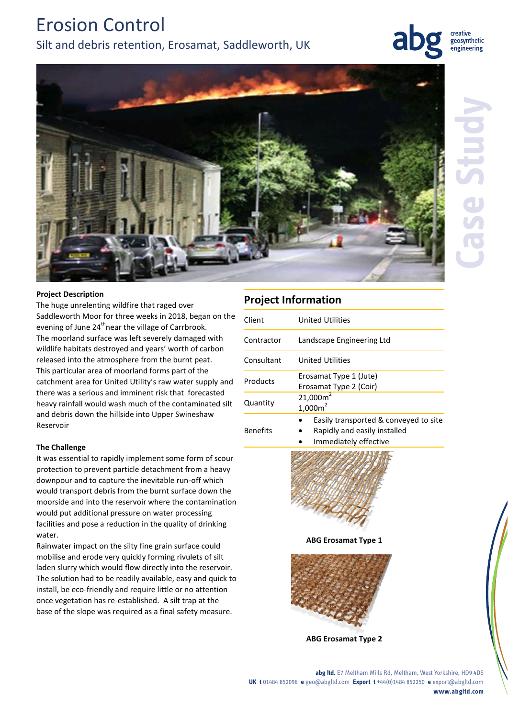# Erosion Control

# Silt and debris retention, Erosamat, Saddleworth, UK





**Case Study**



# **Project Description**

The huge unrelenting wildfire that raged over Saddleworth Moor for three weeks in 2018, began on the evening of June 24<sup>th</sup>near the village of Carrbrook. The moorland surface was left severely damaged with wildlife habitats destroyed and years' worth of carbon released into the atmosphere from the burnt peat. This particular area of moorland forms part of the catchment area for United Utility's raw water supply and there was a serious and imminent risk that forecasted heavy rainfall would wash much of the contaminated silt and debris down the hillside into Upper Swineshaw Reservoir

# **The Challenge**

It was essential to rapidly implement some form of scour protection to prevent particle detachment from a heavy downpour and to capture the inevitable run-off which would transport debris from the burnt surface down the moorside and into the reservoir where the contamination would put additional pressure on water processing facilities and pose a reduction in the quality of drinking water.

Rainwater impact on the silty fine grain surface could mobilise and erode very quickly forming rivulets of silt laden slurry which would flow directly into the reservoir. The solution had to be readily available, easy and quick to install, be eco-friendly and require little or no attention once vegetation has re-established. A silt trap at the base of the slope was required as a final safety measure.

| PIUJELL IIIIUI III ALIUII |                                                                                                |
|---------------------------|------------------------------------------------------------------------------------------------|
| Client                    | United Utilities                                                                               |
| Contractor                | Landscape Engineering Ltd                                                                      |
| Consultant                | United Utilities                                                                               |
| Products                  | Erosamat Type 1 (Jute)<br>Erosamat Type 2 (Coir)                                               |
| Quantity                  | 21,000m <sup>2</sup><br>1,000m <sup>2</sup>                                                    |
| <b>Benefits</b>           | Easily transported & conveyed to site<br>Rapidly and easily installed<br>Immodiately offective |

**Project Information**

Immediately effective



**ABG Erosamat Type 1**



**ABG Erosamat Type 2**

**abg ltd.** E7 Meltham Mills Rd, Meltham, West Yorkshire, HD9 4DS **UK t** 01484 852096 **e** geo@abgltd.com **Export t** +44(0)1484 852250 **e** export@abgltd.com **www.abgltd.com**